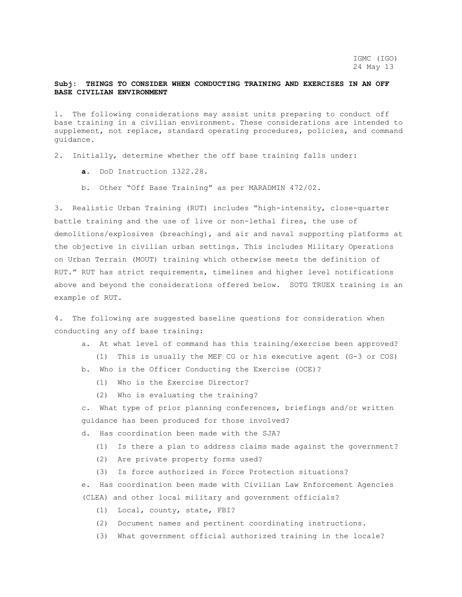## **Subj: THINGS TO CONSIDER WHEN CONDUCTING TRAINING AND EXERCISES IN AN OFF BASE CIVILIAN ENVIRONMENT**

1. The following considerations may assist units preparing to conduct off base training in a civilian environment. These considerations are intended to supplement, not replace, standard operating procedures, policies, and command guidance.

2. Initially, determine whether the off base training falls under:

- **a.** DoD Instruction 1322.28.
- b. Other "Off Base Training" as per MARADMIN 472/02.

3. Realistic Urban Training (RUT) includes "high-intensity, close-quarter battle training and the use of live or non-lethal fires, the use of demolitions/explosives (breaching), and air and naval supporting platforms at the objective in civilian urban settings. This includes Military Operations on Urban Terrain (MOUT) training which otherwise meets the definition of RUT." RUT has strict requirements, timelines and higher level notifications above and beyond the considerations offered below. SOTG TRUEX training is an example of RUT.

4. The following are suggested baseline questions for consideration when conducting any off base training:

- a. At what level of command has this training/exercise been approved?
	- (1) This is usually the MEF CG or his executive agent (G-3 or COS)
- b. Who is the Officer Conducting the Exercise (OCE)?
	- (1) Who is the Exercise Director?
	- (2) Who is evaluating the training?

c. What type of prior planning conferences, briefings and/or written guidance has been produced for those involved?

- d. Has coordination been made with the SJA?
	- (1) Is there a plan to address claims made against the government?
	- (2) Are private property forms used?
	- (3) Is force authorized in Force Protection situations?

e. Has coordination been made with Civilian Law Enforcement Agencies (CLEA) and other local military and government officials?

- (1) Local, county, state, FBI?
- (2) Document names and pertinent coordinating instructions.
- (3) What government official authorized training in the locale?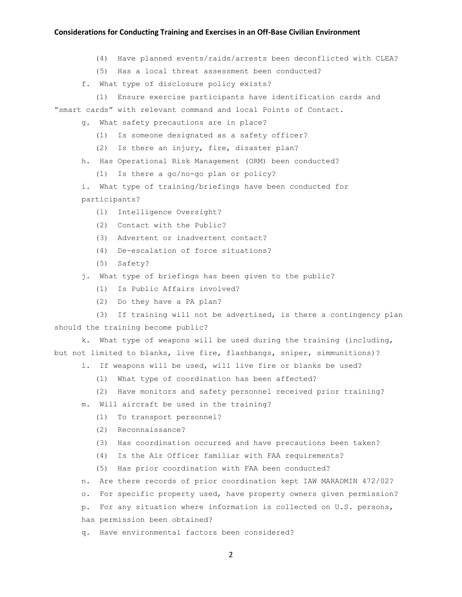## **Considerations for Conducting Training and Exercises in an Off-Base Civilian Environment**

- (4) Have planned events/raids/arrests been deconflicted with CLEA?
- (5) Has a local threat assessment been conducted?
- f. What type of disclosure policy exists?
- (1) Ensure exercise participants have identification cards and

"smart cards" with relevant command and local Points of Contact.

- g. What safety precautions are in place?
	- (1) Is someone designated as a safety officer?
	- (2) Is there an injury, fire, disaster plan?
- h. Has Operational Risk Management (ORM) been conducted?

(1) Is there a go/no-go plan or policy?

i. What type of training/briefings have been conducted for participants?

- (1) Intelligence Oversight?
- (2) Contact with the Public?
- (3) Advertent or inadvertent contact?
- (4) De-escalation of force situations?
- (5) Safety?
- j. What type of briefings has been given to the public?
	- (1) Is Public Affairs involved?
	- (2) Do they have a PA plan?

 (3) If training will not be advertised, is there a contingency plan should the training become public?

k. What type of weapons will be used during the training (including, but not limited to blanks, live fire, flashbangs, sniper, simmunitions)?

- l. If weapons will be used, will live fire or blanks be used?
	- (1) What type of coordination has been affected?
	- (2) Have monitors and safety personnel received prior training?
- m. Will aircraft be used in the training?
	- (1) To transport personnel?
	- (2) Reconnaissance?
	- (3) Has coordination occurred and have precautions been taken?
	- (4) Is the Air Officer familiar with FAA requirements?
	- (5) Has prior coordination with FAA been conducted?
- n. Are there records of prior coordination kept IAW MARADMIN 472/02?
- o. For specific property used, have property owners given permission?

p. For any situation where information is collected on U.S. persons, has permission been obtained?

q. Have environmental factors been considered?